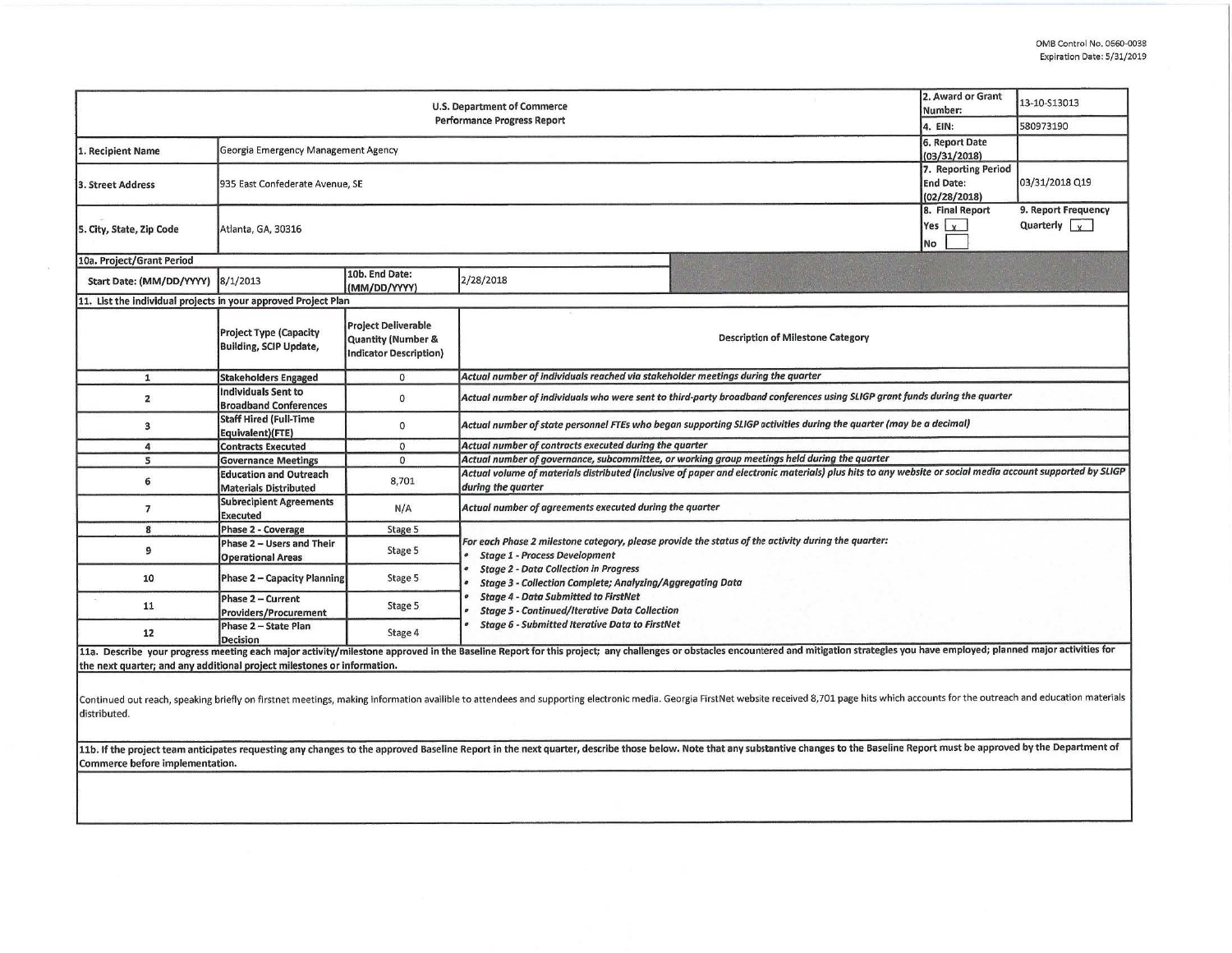| <b>U.S. Department of Commerce</b><br><b>Performance Progress Report</b> |                                                                |                                                                            |                                                                                                                                                                                                                                                                |                                          |                                                  | 13-10-S13013                                |  |  |  |  |
|--------------------------------------------------------------------------|----------------------------------------------------------------|----------------------------------------------------------------------------|----------------------------------------------------------------------------------------------------------------------------------------------------------------------------------------------------------------------------------------------------------------|------------------------------------------|--------------------------------------------------|---------------------------------------------|--|--|--|--|
|                                                                          |                                                                |                                                                            |                                                                                                                                                                                                                                                                |                                          |                                                  | 580973190                                   |  |  |  |  |
| 1. Recipient Name                                                        | Georgia Emergency Management Agency                            |                                                                            |                                                                                                                                                                                                                                                                |                                          | 6. Report Date<br>(03/31/2018)                   |                                             |  |  |  |  |
| 3. Street Address                                                        | 935 East Confederate Avenue, SE                                |                                                                            |                                                                                                                                                                                                                                                                |                                          | 7. Reporting Period<br>End Date:<br>(02/28/2018) | 03/31/2018 Q19                              |  |  |  |  |
| 5. City, State, Zip Code                                                 | Atlanta, GA, 30316                                             |                                                                            |                                                                                                                                                                                                                                                                |                                          | 8. Final Report<br>Yes $x$<br>No                 | 9. Report Frequency<br>Quarterly $\sqrt{x}$ |  |  |  |  |
| 10a. Project/Grant Period                                                |                                                                |                                                                            |                                                                                                                                                                                                                                                                |                                          |                                                  |                                             |  |  |  |  |
| Start Date: (MM/DD/YYYY)                                                 | 8/1/2013                                                       | 10b. End Date:<br>(MM/DD/YYYY)                                             | 2/28/2018                                                                                                                                                                                                                                                      |                                          |                                                  |                                             |  |  |  |  |
| 11. List the individual projects in your approved Project Plan           |                                                                |                                                                            |                                                                                                                                                                                                                                                                |                                          |                                                  |                                             |  |  |  |  |
|                                                                          | <b>Project Type (Capacity</b><br><b>Building, SCIP Update,</b> | <b>Project Deliverable</b><br>Quantity (Number &<br>Indicator Description) |                                                                                                                                                                                                                                                                | <b>Description of Milestone Category</b> |                                                  |                                             |  |  |  |  |
| $\mathbf{1}$                                                             | <b>Stakeholders Engaged</b>                                    | $\mathbf{0}$                                                               | Actual number of individuals reached via stakeholder meetings during the quarter                                                                                                                                                                               |                                          |                                                  |                                             |  |  |  |  |
| $\overline{2}$                                                           | Individuals Sent to<br><b>Broadband Conferences</b>            | $\mathbf{0}$                                                               | Actual number of individuals who were sent to third-party broadband conferences using SLIGP grant funds during the quarter                                                                                                                                     |                                          |                                                  |                                             |  |  |  |  |
| 3                                                                        | <b>Staff Hired (Full-Time</b><br>Equivalent)(FTE)              | 0                                                                          | Actual number of state personnel FTEs who began supporting SLIGP activities during the quarter (may be a decimal)                                                                                                                                              |                                          |                                                  |                                             |  |  |  |  |
| 4                                                                        | <b>Contracts Executed</b>                                      | $\mathbf{0}$                                                               | Actual number of contracts executed during the quarter                                                                                                                                                                                                         |                                          |                                                  |                                             |  |  |  |  |
| 5                                                                        | <b>Governance Meetings</b>                                     | $\Omega$                                                                   | Actual number of governance, subcommittee, or working group meetings held during the quarter                                                                                                                                                                   |                                          |                                                  |                                             |  |  |  |  |
| 6                                                                        | <b>Education and Outreach</b><br><b>Materials Distributed</b>  | 8,701                                                                      | Actual volume of materials distributed (inclusive of paper and electronic materials) plus hits to any website or social media account supported by SLIGP<br>during the quarter                                                                                 |                                          |                                                  |                                             |  |  |  |  |
| $\overline{7}$                                                           | <b>Subrecipient Agreements</b><br><b>Executed</b>              | N/A                                                                        | Actual number of agreements executed during the quarter                                                                                                                                                                                                        |                                          |                                                  |                                             |  |  |  |  |
| 8                                                                        | Phase 2 - Coverage                                             | Stage 5                                                                    |                                                                                                                                                                                                                                                                |                                          |                                                  |                                             |  |  |  |  |
| 9                                                                        | Phase 2 - Users and Their<br><b>Operational Areas</b>          | Stage 5                                                                    | For each Phase 2 milestone category, please provide the status of the activity during the quarter:<br><b>Stage 1 - Process Development</b><br><b>Stage 2 - Data Collection in Progress</b><br><b>Stage 3 - Collection Complete; Analyzing/Aggregating Data</b> |                                          |                                                  |                                             |  |  |  |  |
| 10                                                                       | <b>Phase 2 - Capacity Planning</b>                             | Stage 5                                                                    |                                                                                                                                                                                                                                                                |                                          |                                                  |                                             |  |  |  |  |
| 11                                                                       | Phase 2 - Current<br>Providers/Procurement                     | Stage 5                                                                    | <b>Stage 4 - Data Submitted to FirstNet</b><br><b>Stage 5 - Continued/Iterative Data Collection</b><br><b>Stage 6 - Submitted Iterative Data to FirstNet</b>                                                                                                   |                                          |                                                  |                                             |  |  |  |  |
| 12                                                                       | Phase 2 - State Plan<br>Decision                               | Stage 4                                                                    |                                                                                                                                                                                                                                                                |                                          |                                                  |                                             |  |  |  |  |
| the next quarter; and any additional project milestones or information.  |                                                                |                                                                            | 11a. Describe your progress meeting each major activity/milestone approved in the Baseline Report for this project; any challenges or obstacles encountered and mitigation strategies you have employed; planned major activit                                 |                                          |                                                  |                                             |  |  |  |  |

 $\sim$ 

Continued out reach, speaking briefly on firstnet meetings, making information availible to attendees and supporting electronic media. Georgia FirstNet website received 8,701 page hits which accounts for the outreach and e distributed.

11b. If the project team anticipates requesting any changes to the approved Baseline Report in the next quarter, describe those below. Note that any substantive changes to the Baseline Report must be approved by the Depart Commerce before implementation.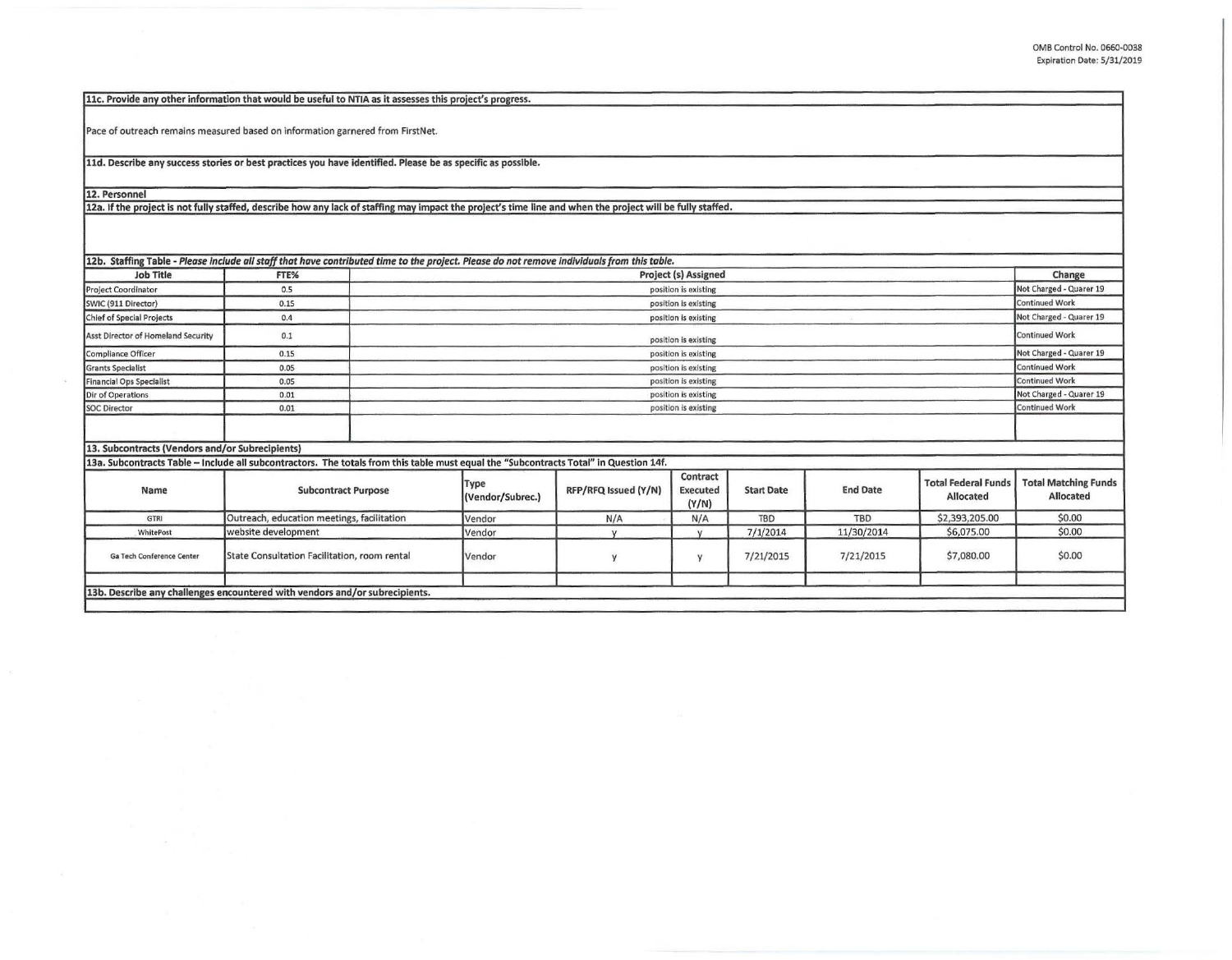| 11c. Provide any other information that would be useful to NTIA as it assesses this project's progress.                                                    |                                              |                      |                                                 |                      |                               |                   |                 |                                                |                                          |
|------------------------------------------------------------------------------------------------------------------------------------------------------------|----------------------------------------------|----------------------|-------------------------------------------------|----------------------|-------------------------------|-------------------|-----------------|------------------------------------------------|------------------------------------------|
| Pace of outreach remains measured based on information garnered from FirstNet.                                                                             |                                              |                      |                                                 |                      |                               |                   |                 |                                                |                                          |
| 11d. Describe any success stories or best practices you have identified. Please be as specific as possible.                                                |                                              |                      |                                                 |                      |                               |                   |                 |                                                |                                          |
| 12. Personnel                                                                                                                                              |                                              |                      |                                                 |                      |                               |                   |                 |                                                |                                          |
| 12a. If the project is not fully staffed, describe how any lack of staffing may impact the project's time line and when the project will be fully staffed. |                                              |                      |                                                 |                      |                               |                   |                 |                                                |                                          |
|                                                                                                                                                            |                                              |                      |                                                 |                      |                               |                   |                 |                                                |                                          |
| 12b. Staffing Table - Please include all staff that have contributed time to the project. Please do not remove individuals from this table.                |                                              |                      |                                                 |                      |                               |                   |                 |                                                |                                          |
| <b>Job Title</b>                                                                                                                                           | FTE%                                         |                      | Project (s) Assigned                            |                      |                               |                   |                 | Change                                         |                                          |
| Project Coordinator                                                                                                                                        | 0.5                                          |                      | position is existing                            |                      |                               |                   |                 | Not Charged - Quarer 19                        |                                          |
| SWIC (911 Director)                                                                                                                                        | 0.15                                         |                      | position is existing                            |                      |                               |                   |                 | <b>Continued Work</b>                          |                                          |
| Chief of Special Projects                                                                                                                                  | 0.4                                          |                      | position is existing                            |                      |                               |                   |                 |                                                | Not Charged - Quarer 19                  |
| Asst Director of Homeland Security                                                                                                                         | 0.1                                          |                      | position is existing                            |                      |                               |                   |                 |                                                | <b>Continued Work</b>                    |
| Compliance Officer                                                                                                                                         | 0.15                                         |                      | position is existing                            |                      |                               |                   |                 |                                                | Not Charged - Quarer 19                  |
| <b>Grants Specialist</b>                                                                                                                                   | 0.05                                         |                      | position is existing                            |                      |                               |                   |                 |                                                | <b>Continued Work</b>                    |
| <b>Financial Ops Specialist</b>                                                                                                                            | 0.05                                         |                      | position is existing                            |                      |                               |                   |                 |                                                | <b>Continued Work</b>                    |
| Dir of Operations                                                                                                                                          | 0.01                                         |                      | Not Charged - Quarer 19<br>position is existing |                      |                               |                   |                 |                                                |                                          |
| <b>SOC Director</b>                                                                                                                                        | 0.01                                         | position is existing |                                                 |                      |                               |                   |                 | <b>Continued Work</b>                          |                                          |
|                                                                                                                                                            |                                              |                      |                                                 |                      |                               |                   |                 |                                                |                                          |
| 13. Subcontracts (Vendors and/or Subrecipients)                                                                                                            |                                              |                      |                                                 |                      |                               |                   |                 |                                                |                                          |
| 13a. Subcontracts Table - Include all subcontractors. The totals from this table must equal the "Subcontracts Total" in Question 14f.                      |                                              |                      |                                                 |                      |                               |                   |                 |                                                |                                          |
| Name                                                                                                                                                       | <b>Subcontract Purpose</b>                   |                      | <b>Type</b><br>(Vendor/Subrec.)                 | RFP/RFQ Issued (Y/N) | Contract<br>Executed<br>(Y/N) | <b>Start Date</b> | <b>End Date</b> | <b>Total Federal Funds</b><br><b>Allocated</b> | <b>Total Matching Funds</b><br>Allocated |
| GTRI                                                                                                                                                       | Outreach, education meetings, facilitation   |                      | Vendor                                          | N/A                  | N/A                           | <b>TBD</b>        | <b>TBD</b>      | \$2,393,205.00                                 | \$0.00                                   |
| WhitePost                                                                                                                                                  | website development                          |                      | Vendor                                          | $\mathbf{V}$         | $\mathsf{v}$                  | 7/1/2014          | 11/30/2014      | \$6,075.00                                     | \$0.00                                   |
| Ga Tech Conference Center                                                                                                                                  | State Consultation Facilitation, room rental |                      | Vendor                                          | y                    | y                             | 7/21/2015         | 7/21/2015       | \$7,080.00                                     | \$0.00                                   |
|                                                                                                                                                            |                                              |                      |                                                 |                      |                               |                   |                 |                                                |                                          |
| 13b. Describe any challenges encountered with vendors and/or subrecipients.                                                                                |                                              |                      |                                                 |                      |                               |                   |                 |                                                |                                          |

 $\sim$